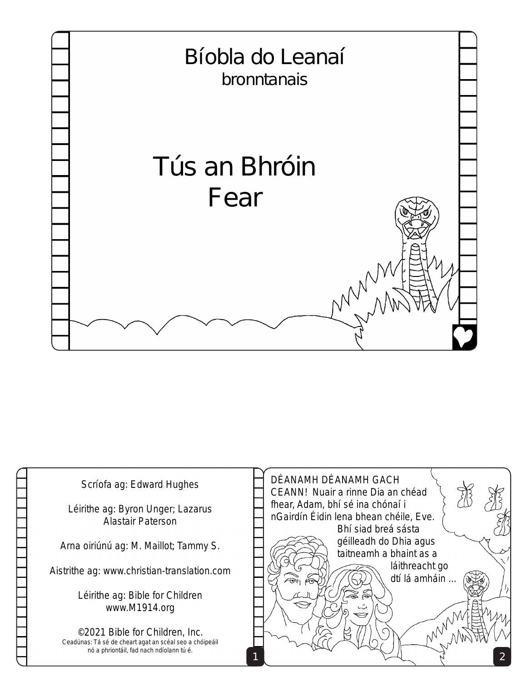

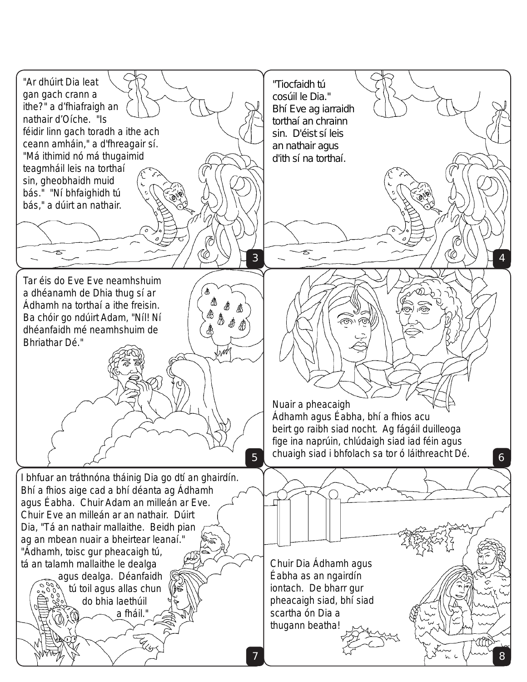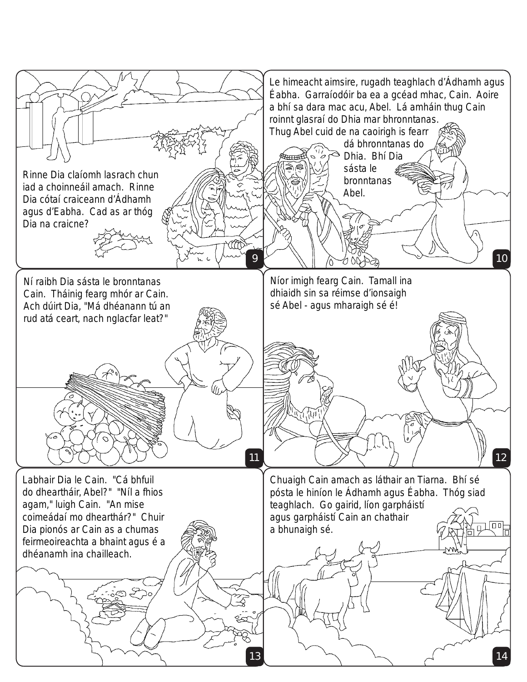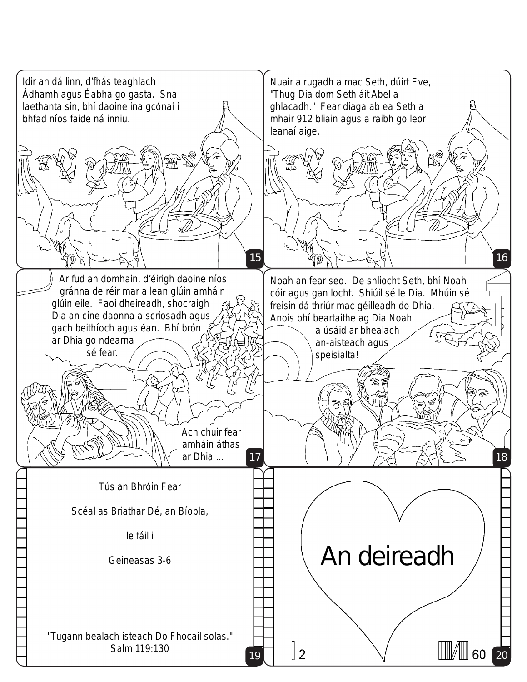